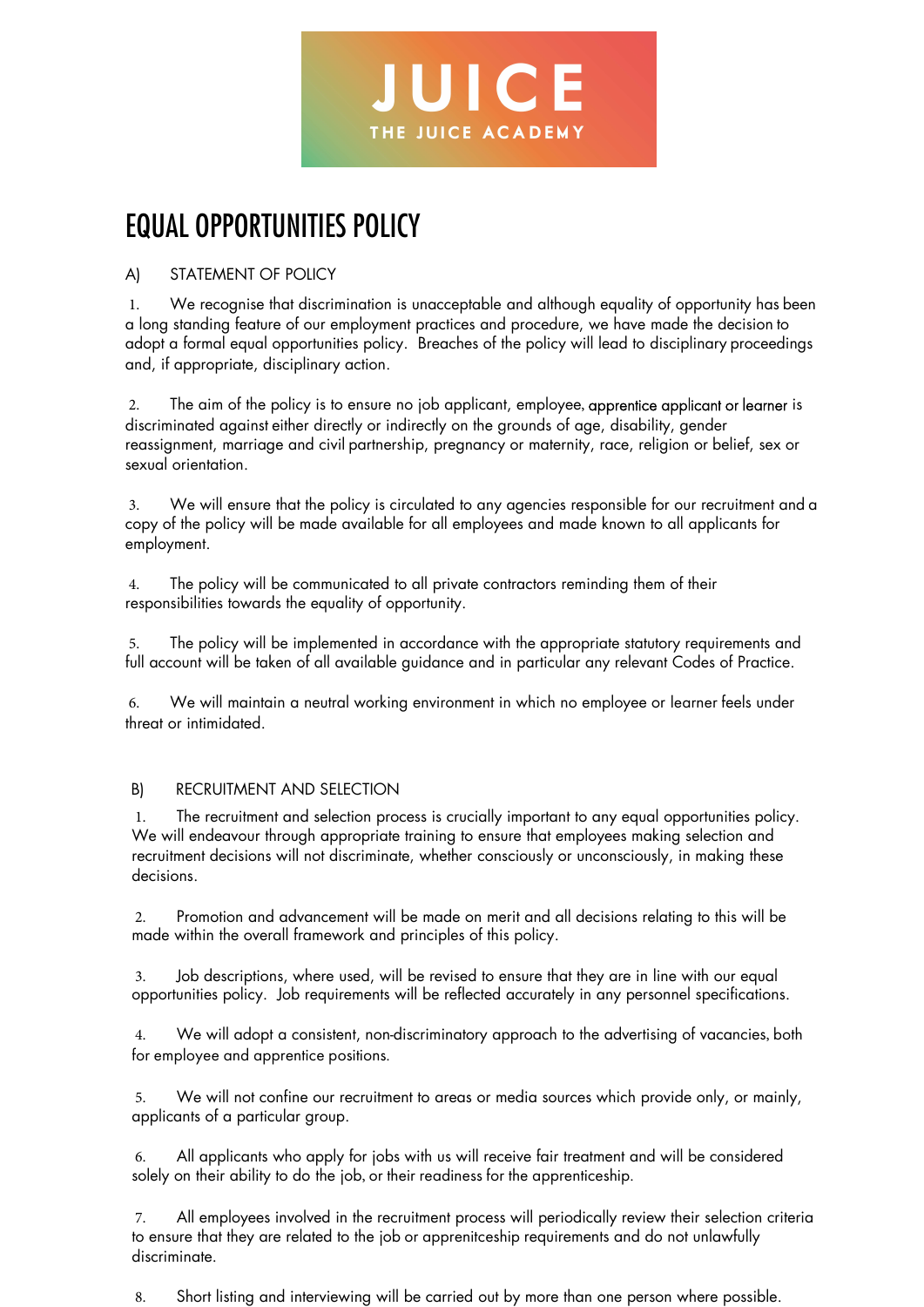

## EQUAL OPPORTUNITIES POLICY

## A) STATEMENT OF POLICY

1. We recognise that discrimination is unacceptable and although equality of opportunity has been a long standing feature of our employment practices and procedure, we have made the decision to adopt a formal equal opportunities policy. Breaches of the policy will lead to disciplinary proceedings and, if appropriate, disciplinary action.

2. The aim of the policy is to ensure no job applicant, employee, apprentice applicant or learner is discriminated against either directly or indirectly on the grounds of age, disability, gender reassignment, marriage and civil partnership, pregnancy or maternity, race, religion or belief, sex or sexual orientation.

3. We will ensure that the policy is circulated to any agencies responsible for our recruitment and a copy of the policy will be made available for all employees and made known to all applicants for employment.

4. The policy will be communicated to all private contractors reminding them of their responsibilities towards the equality of opportunity.

5. The policy will be implemented in accordance with the appropriate statutory requirements and full account will be taken of all available guidance and in particular any relevant Codes of Practice.

6. We will maintain a neutral working environment in which no employee or learner feels under threat or intimidated.

## B) RECRUITMENT AND SELECTION

1. The recruitment and selection process is crucially important to any equal opportunities policy. We will endeavour through appropriate training to ensure that employees making selection and recruitment decisions will not discriminate, whether consciously or unconsciously, in making these decisions.

2. Promotion and advancement will be made on merit and all decisions relating to this will be made within the overall framework and principles of this policy.

3. Job descriptions, where used, will be revised to ensure that they are in line with our equal opportunities policy. Job requirements will be reflected accurately in any personnel specifications.

4. We will adopt a consistent, non-discriminatory approach to the advertising of vacancies, both for employee and apprentice positions.

5. We will not confine our recruitment to areas or media sources which provide only, or mainly, applicants of a particular group.

6. All applicants who apply for jobs with us will receive fair treatment and will be considered solely on their ability to do the job, or their readiness for the apprenticeship.

7. All employees involved in the recruitment process will periodically review their selection criteria to ensure that they are related to the job or apprenitceship requirements and do not unlawfully discriminate.

8. Short listing and interviewing will be carried out by more than one person where possible.